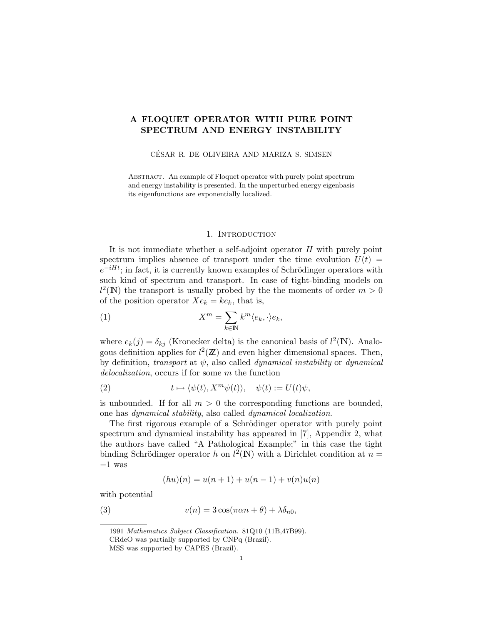# A FLOQUET OPERATOR WITH PURE POINT SPECTRUM AND ENERGY INSTABILITY

CÉSAR R. DE OLIVEIRA AND MARIZA S. SIMSEN

ABSTRACT. An example of Floquet operator with purely point spectrum and energy instability is presented. In the unperturbed energy eigenbasis its eigenfunctions are exponentially localized.

### 1. INTRODUCTION

It is not immediate whether a self-adjoint operator H with purely point spectrum implies absence of transport under the time evolution  $U(t)$  $e^{-iHt}$ ; in fact, it is currently known examples of Schrödinger operators with such kind of spectrum and transport. In case of tight-binding models on  $l^2(\mathbb{N})$  the transport is usually probed by the the moments of order  $m > 0$ of the position operator  $Xe_k = ke_k$ , that is,

(1) 
$$
X^m = \sum_{k \in \mathbb{N}} k^m \langle e_k, \cdot \rangle e_k,
$$

where  $e_k(j) = \delta_{kj}$  (Kronecker delta) is the canonical basis of  $l^2(\mathbb{N})$ . Analogous definition applies for  $l^2(\mathbb{Z})$  and even higher dimensional spaces. Then, by definition, transport at  $\psi$ , also called *dynamical instability* or *dynamical* delocalization, occurs if for some m the function

(2) 
$$
t \mapsto \langle \psi(t), X^m \psi(t) \rangle, \quad \psi(t) := U(t) \psi,
$$

is unbounded. If for all  $m > 0$  the corresponding functions are bounded, one has dynamical stability, also called dynamical localization.

The first rigorous example of a Schrödinger operator with purely point spectrum and dynamical instability has appeared in [7], Appendix 2, what the authors have called "A Pathological Example;" in this case the tight binding Schrödinger operator h on  $l^2(\mathbb{N})$  with a Dirichlet condition at  $n =$ −1 was

$$
(hu)(n) = u(n + 1) + u(n - 1) + v(n)u(n)
$$

with potential

(3) 
$$
v(n) = 3\cos(\pi\alpha n + \theta) + \lambda\delta_{n0},
$$

<sup>1991</sup> Mathematics Subject Classification. 81Q10 (11B,47B99).

CRdeO was partially supported by CNPq (Brazil).

MSS was supported by CAPES (Brazil).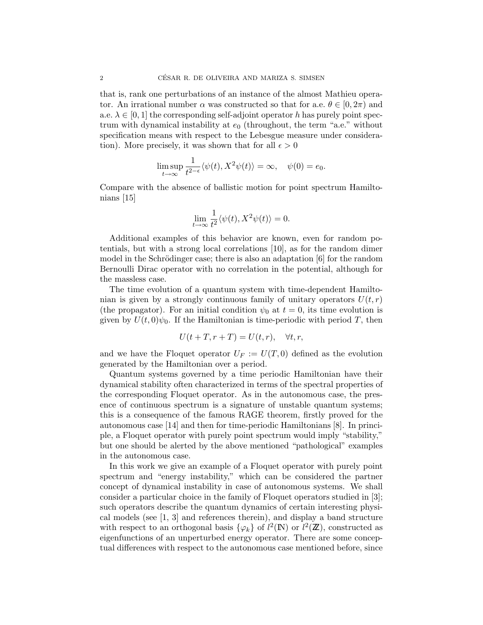that is, rank one perturbations of an instance of the almost Mathieu operator. An irrational number  $\alpha$  was constructed so that for a.e.  $\theta \in [0, 2\pi)$  and a.e.  $\lambda \in [0, 1]$  the corresponding self-adjoint operator h has purely point spectrum with dynamical instability at  $e_0$  (throughout, the term "a.e." without specification means with respect to the Lebesgue measure under consideration). More precisely, it was shown that for all  $\epsilon > 0$ 

$$
\limsup_{t \to \infty} \frac{1}{t^{2-\epsilon}} \langle \psi(t), X^2 \psi(t) \rangle = \infty, \quad \psi(0) = e_0.
$$

Compare with the absence of ballistic motion for point spectrum Hamiltonians  $|15|$ 

$$
\lim_{t \to \infty} \frac{1}{t^2} \langle \psi(t), X^2 \psi(t) \rangle = 0.
$$

Additional examples of this behavior are known, even for random potentials, but with a strong local correlations [10], as for the random dimer model in the Schrödinger case; there is also an adaptation  $[6]$  for the random Bernoulli Dirac operator with no correlation in the potential, although for the massless case.

The time evolution of a quantum system with time-dependent Hamiltonian is given by a strongly continuous family of unitary operators  $U(t, r)$ (the propagator). For an initial condition  $\psi_0$  at  $t = 0$ , its time evolution is given by  $U(t, 0)\psi_0$ . If the Hamiltonian is time-periodic with period T, then

$$
U(t+T, r+T) = U(t,r), \quad \forall t, r,
$$

and we have the Floquet operator  $U_F := U(T, 0)$  defined as the evolution generated by the Hamiltonian over a period.

Quantum systems governed by a time periodic Hamiltonian have their dynamical stability often characterized in terms of the spectral properties of the corresponding Floquet operator. As in the autonomous case, the presence of continuous spectrum is a signature of unstable quantum systems; this is a consequence of the famous RAGE theorem, firstly proved for the autonomous case [14] and then for time-periodic Hamiltonians [8]. In principle, a Floquet operator with purely point spectrum would imply "stability," but one should be alerted by the above mentioned "pathological" examples in the autonomous case.

In this work we give an example of a Floquet operator with purely point spectrum and "energy instability," which can be considered the partner concept of dynamical instability in case of autonomous systems. We shall consider a particular choice in the family of Floquet operators studied in [3]; such operators describe the quantum dynamics of certain interesting physical models (see [1, 3] and references therein), and display a band structure with respect to an orthogonal basis  $\{\varphi_k\}$  of  $l^2(\mathbb{N})$  or  $l^2(\mathbb{Z})$ , constructed as eigenfunctions of an unperturbed energy operator. There are some conceptual differences with respect to the autonomous case mentioned before, since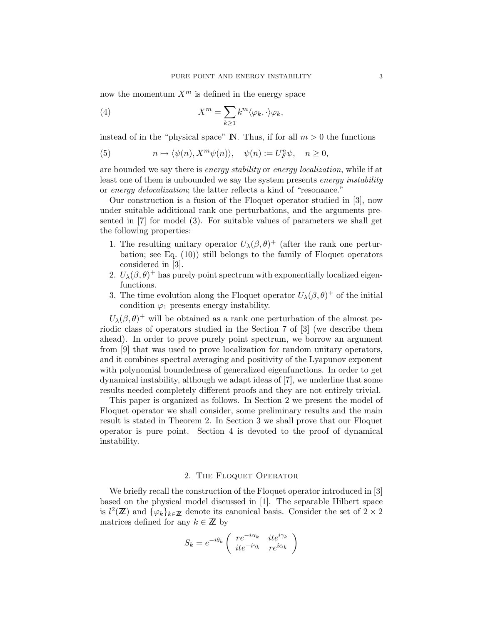now the momentum  $X^m$  is defined in the energy space

(4) 
$$
X^m = \sum_{k \ge 1} k^m \langle \varphi_k, \cdot \rangle \varphi_k,
$$

instead of in the "physical space"  $\mathbb{N}$ . Thus, if for all  $m > 0$  the functions

(5) 
$$
n \mapsto \langle \psi(n), X^m \psi(n) \rangle, \quad \psi(n) := U_F^n \psi, \quad n \ge 0,
$$

are bounded we say there is energy stability or energy localization, while if at least one of them is unbounded we say the system presents energy instability or energy delocalization; the latter reflects a kind of "resonance."

Our construction is a fusion of the Floquet operator studied in [3], now under suitable additional rank one perturbations, and the arguments presented in [7] for model (3). For suitable values of parameters we shall get the following properties:

- 1. The resulting unitary operator  $U_{\lambda}(\beta, \theta)^{+}$  (after the rank one perturbation; see Eq. (10)) still belongs to the family of Floquet operators considered in [3].
- 2.  $U_{\lambda}(\beta,\theta)^+$  has purely point spectrum with exponentially localized eigenfunctions.
- 3. The time evolution along the Floquet operator  $U_{\lambda}(\beta, \theta)^{+}$  of the initial condition  $\varphi_1$  presents energy instability.

 $U_{\lambda}(\beta,\theta)^{+}$  will be obtained as a rank one perturbation of the almost periodic class of operators studied in the Section 7 of [3] (we describe them ahead). In order to prove purely point spectrum, we borrow an argument from [9] that was used to prove localization for random unitary operators, and it combines spectral averaging and positivity of the Lyapunov exponent with polynomial boundedness of generalized eigenfunctions. In order to get dynamical instability, although we adapt ideas of [7], we underline that some results needed completely different proofs and they are not entirely trivial.

This paper is organized as follows. In Section 2 we present the model of Floquet operator we shall consider, some preliminary results and the main result is stated in Theorem 2. In Section 3 we shall prove that our Floquet operator is pure point. Section 4 is devoted to the proof of dynamical instability.

#### 2. The Floquet Operator

We briefly recall the construction of the Floquet operator introduced in [3] based on the physical model discussed in [1]. The separable Hilbert space is  $l^2(\mathbb{Z})$  and  $\{\varphi_k\}_{k\in\mathbb{Z}}$  denote its canonical basis. Consider the set of  $2\times 2$ matrices defined for any  $k \in \mathbb{Z}$  by

$$
S_k = e^{-i\theta_k} \begin{pmatrix} re^{-i\alpha_k} & ite^{i\gamma_k} \\ ite^{-i\gamma_k} & re^{i\alpha_k} \end{pmatrix}
$$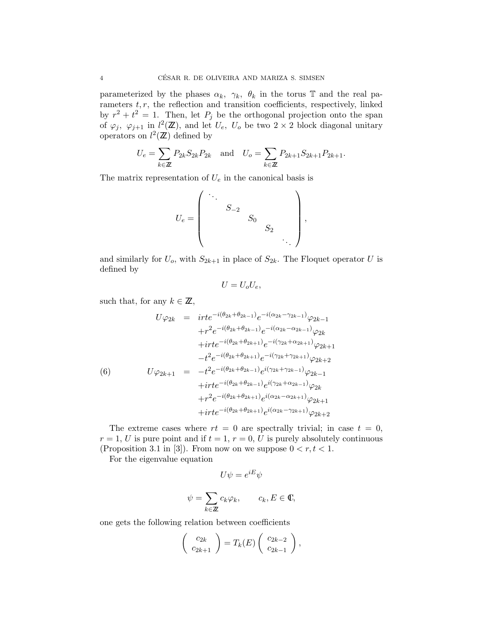parameterized by the phases  $\alpha_k$ ,  $\gamma_k$ ,  $\theta_k$  in the torus T and the real parameters  $t, r$ , the reflection and transition coefficients, respectively, linked by  $r^2 + t^2 = 1$ . Then, let  $P_j$  be the orthogonal projection onto the span of  $\varphi_j$ ,  $\varphi_{j+1}$  in  $l^2(\mathbb{Z})$ , and let  $U_e$ ,  $U_o$  be two  $2 \times 2$  block diagonal unitary operators on  $l^2(\mathbb{Z})$  defined by

$$
U_e = \sum_{k \in \mathbb{Z}} P_{2k} S_{2k} P_{2k} \text{ and } U_o = \sum_{k \in \mathbb{Z}} P_{2k+1} S_{2k+1} P_{2k+1}.
$$

The matrix representation of  $U_e$  in the canonical basis is

$$
U_e = \begin{pmatrix} \ddots & & & \\ & S_{-2} & & \\ & & S_0 & \\ & & & S_2 & \\ & & & & \ddots \end{pmatrix},
$$

and similarly for  $U_o$ , with  $S_{2k+1}$  in place of  $S_{2k}$ . The Floquet operator U is defined by

$$
U=U_oU_e,
$$

such that, for any  $k \in \mathbb{Z}$ ,

$$
U\varphi_{2k} = \int_{0}^{2\pi} t e^{-i(\theta_{2k} + \theta_{2k-1})} e^{-i(\alpha_{2k} - \gamma_{2k-1})} \varphi_{2k-1} \n+ r^{2} e^{-i(\theta_{2k} + \theta_{2k-1})} e^{-i(\alpha_{2k} - \alpha_{2k-1})} \varphi_{2k} \n+ \int_{0}^{2\pi} t e^{-i(\theta_{2k} + \theta_{2k+1})} e^{-i(\gamma_{2k} + \alpha_{2k+1})} \varphi_{2k+1} \n- t^{2} e^{-i(\theta_{2k} + \theta_{2k-1})} e^{-i(\gamma_{2k} + \gamma_{2k-1})} \varphi_{2k-1} \n+ \int_{0}^{2\pi} t e^{-i(\theta_{2k} + \theta_{2k-1})} e^{i(\gamma_{2k} + \gamma_{2k-1})} \varphi_{2k-1} \n+ \int_{0}^{2\pi} t e^{-i(\theta_{2k} + \theta_{2k-1})} e^{i(\gamma_{2k} + \alpha_{2k-1})} \varphi_{2k} \n+ r^{2} e^{-i(\theta_{2k} + \theta_{2k+1})} e^{i(\alpha_{2k} - \alpha_{2k+1})} \varphi_{2k+1} \n+ \int_{0}^{2\pi} e^{-i(\theta_{2k} + \theta_{2k+1})} e^{i(\alpha_{2k} - \gamma_{2k+1})} \varphi_{2k+2}
$$

The extreme cases where  $rt = 0$  are spectrally trivial; in case  $t = 0$ ,  $r = 1, U$  is pure point and if  $t = 1, r = 0, U$  is purely absolutely continuous (Proposition 3.1 in [3]). From now on we suppose  $0 < r, t < 1$ .

For the eigenvalue equation

$$
U\psi = e^{iE}\psi
$$
  

$$
\psi = \sum_{k \in \mathbb{Z}} c_k \varphi_k, \qquad c_k, E \in \mathbb{C},
$$

one gets the following relation between coefficients

$$
\left(\begin{array}{c}c_{2k}\\c_{2k+1}\end{array}\right)=T_k(E)\left(\begin{array}{c}c_{2k-2}\\c_{2k-1}\end{array}\right),\,
$$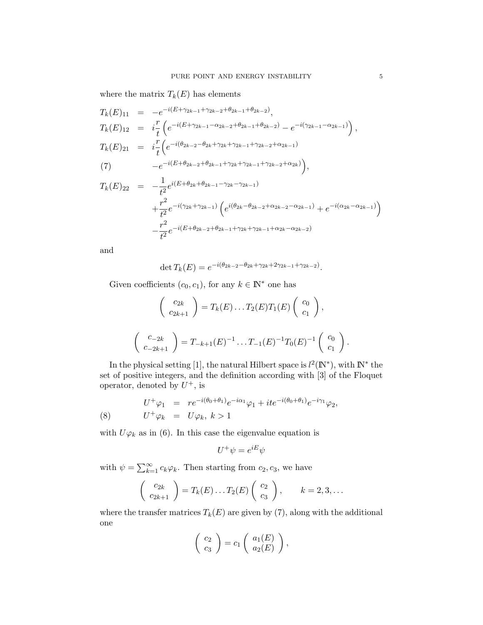where the matrix  $T_k(E)$  has elements

$$
T_k(E)_{11} = -e^{-i(E+\gamma_{2k-1}+\gamma_{2k-2}+\theta_{2k-1}+\theta_{2k-2})},
$$
  
\n
$$
T_k(E)_{12} = i\frac{r}{t} \left( e^{-i(E+\gamma_{2k-1}-\alpha_{2k-2}+\theta_{2k-1}+\theta_{2k-2})} - e^{-i(\gamma_{2k-1}-\alpha_{2k-1})} \right),
$$
  
\n
$$
T_k(E)_{21} = i\frac{r}{t} \left( e^{-i(\theta_{2k-2}-\theta_{2k}+\gamma_{2k}+\gamma_{2k-1}+\gamma_{2k-2}+\alpha_{2k-1})} - e^{-i(E+\theta_{2k-2}+\theta_{2k-1}+\gamma_{2k}+\gamma_{2k-1}+\gamma_{2k-2}+\alpha_{2k})} \right),
$$
  
\n
$$
T_k(E)_{22} = -\frac{1}{t^2} e^{i(E+\theta_{2k}+\theta_{2k-1}-\gamma_{2k}-\gamma_{2k-1})} + \frac{r^2}{t^2} e^{-i(\gamma_{2k}+\gamma_{2k-1})} \left( e^{i(\theta_{2k}-\theta_{2k-2}+\alpha_{2k-2}-\alpha_{2k-1})} + e^{-i(\alpha_{2k}-\alpha_{2k-1})} \right)
$$
  
\n
$$
-\frac{r^2}{t^2} e^{-i(E+\theta_{2k-2}+\theta_{2k-1}+\gamma_{2k}+\gamma_{2k-1}+\alpha_{2k}-\alpha_{2k-2})}
$$

and

$$
\det T_k(E) = e^{-i(\theta_{2k-2} - \theta_{2k} + \gamma_{2k} + 2\gamma_{2k-1} + \gamma_{2k-2})}.
$$

Given coefficients  $(c_0, c_1)$ , for any  $k \in \mathbb{N}^*$  one has

$$
\begin{pmatrix} c_{2k} \\ c_{2k+1} \end{pmatrix} = T_k(E) \dots T_2(E) T_1(E) \begin{pmatrix} c_0 \\ c_1 \end{pmatrix},
$$

$$
\begin{pmatrix} c_{-2k} \\ c_{-2k+1} \end{pmatrix} = T_{-k+1}(E)^{-1} \dots T_{-1}(E)^{-1} T_0(E)^{-1} \begin{pmatrix} c_0 \\ c_1 \end{pmatrix}
$$

In the physical setting [1], the natural Hilbert space is  $l^2(\mathbb{N}^*)$ , with  $\mathbb{N}^*$  the set of positive integers, and the definition according with [3] of the Floquet operator, denoted by  $U^+$ , is

(8) 
$$
U^{+}\varphi_{1} = re^{-i(\theta_{0}+\theta_{1})}e^{-i\alpha_{1}}\varphi_{1} + ite^{-i(\theta_{0}+\theta_{1})}e^{-i\gamma_{1}}\varphi_{2},
$$

$$
U^{+}\varphi_{k} = U\varphi_{k}, k > 1
$$

with  $U\varphi_k$  as in (6). In this case the eigenvalue equation is

$$
U^+\psi = e^{iE}\psi
$$

with  $\psi = \sum_{k=1}^{\infty} c_k \varphi_k$ . Then starting from  $c_2, c_3$ , we have

$$
\begin{pmatrix} c_{2k} \ c_{2k+1} \end{pmatrix} = T_k(E) \dots T_2(E) \begin{pmatrix} c_2 \ c_3 \end{pmatrix}, \qquad k = 2, 3, \dots
$$

where the transfer matrices  $T_k(E)$  are given by (7), along with the additional one

$$
\left(\begin{array}{c}c_2\\c_3\end{array}\right)=c_1\left(\begin{array}{c}a_1(E)\\a_2(E)\end{array}\right),\,
$$

.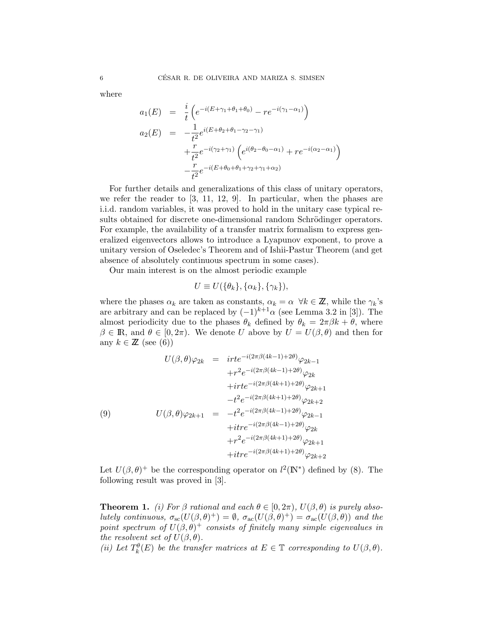where

$$
a_1(E) = \frac{i}{t} \left( e^{-i(E + \gamma_1 + \theta_1 + \theta_0)} - r e^{-i(\gamma_1 - \alpha_1)} \right)
$$
  
\n
$$
a_2(E) = -\frac{1}{t^2} e^{i(E + \theta_2 + \theta_1 - \gamma_2 - \gamma_1)} + \frac{r}{t^2} e^{-i(\gamma_2 + \gamma_1)} \left( e^{i(\theta_2 - \theta_0 - \alpha_1)} + r e^{-i(\alpha_2 - \alpha_1)} \right)
$$
  
\n
$$
-\frac{r}{t^2} e^{-i(E + \theta_0 + \theta_1 + \gamma_2 + \gamma_1 + \alpha_2)}
$$

For further details and generalizations of this class of unitary operators, we refer the reader to [3, 11, 12, 9]. In particular, when the phases are i.i.d. random variables, it was proved to hold in the unitary case typical results obtained for discrete one-dimensional random Schrödinger operators. For example, the availability of a transfer matrix formalism to express generalized eigenvectors allows to introduce a Lyapunov exponent, to prove a unitary version of Oseledec's Theorem and of Ishii-Pastur Theorem (and get absence of absolutely continuous spectrum in some cases).

Our main interest is on the almost periodic example

$$
U \equiv U(\{\theta_k\}, {\{\alpha_k\}, {\{\gamma_k\}}}),
$$

where the phases  $\alpha_k$  are taken as constants,  $\alpha_k = \alpha \ \forall k \in \mathbb{Z}$ , while the  $\gamma_k$ 's are arbitrary and can be replaced by  $(-1)^{k+1}\alpha$  (see Lemma 3.2 in [3]). The almost periodicity due to the phases  $\theta_k$  defined by  $\theta_k = 2\pi\beta k + \theta$ , where  $\beta \in \mathbb{R}$ , and  $\theta \in [0, 2\pi)$ . We denote U above by  $U = U(\beta, \theta)$  and then for any  $k \in \mathbb{Z}$  (see (6))

$$
U(\beta,\theta)\varphi_{2k} = \text{irte}^{-i(2\pi\beta(4k-1)+2\theta)}\varphi_{2k-1} +r^2e^{-i(2\pi\beta(4k-1)+2\theta)}\varphi_{2k} + \text{irte}^{-i(2\pi\beta(4k+1)+2\theta)}\varphi_{2k+1} -t^2e^{-i(2\pi\beta(4k+1)+2\theta)}\varphi_{2k+2}
$$
  
(9) 
$$
U(\beta,\theta)\varphi_{2k+1} = -t^2e^{-i(2\pi\beta(4k-1)+2\theta)}\varphi_{2k-1} + \text{irte}^{-i(2\pi\beta(4k-1)+2\theta)}\varphi_{2k} +r^2e^{-i(2\pi\beta(4k+1)+2\theta)}\varphi_{2k+1} + \text{itrte}^{-i(2\pi\beta(4k+1)+2\theta)}\varphi_{2k+2}
$$

Let  $U(\beta, \theta)^+$  be the corresponding operator on  $l^2(\mathbb{N}^*)$  defined by (8). The following result was proved in [3].

**Theorem 1.** (i) For  $\beta$  rational and each  $\theta \in [0, 2\pi)$ ,  $U(\beta, \theta)$  is purely absolutely continuous,  $\sigma_{sc}(U(\beta,\theta)^+) = \emptyset$ ,  $\sigma_{ac}(U(\beta,\theta)^+) = \sigma_{ac}(U(\beta,\theta))$  and the point spectrum of  $U(\beta, \theta)^+$  consists of finitely many simple eigenvalues in the resolvent set of  $U(\beta, \theta)$ .

(ii) Let  $T_k^{\theta}(E)$  be the transfer matrices at  $E \in \mathbb{T}$  corresponding to  $U(\beta, \theta)$ .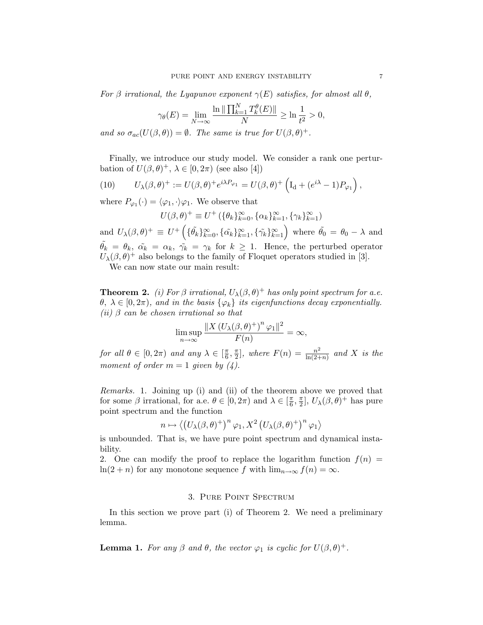For  $\beta$  irrational, the Lyapunov exponent  $\gamma(E)$  satisfies, for almost all  $\theta$ ,

$$
\gamma_{\theta}(E) = \lim_{N \to \infty} \frac{\ln \| \prod_{k=1}^{N} T_k^{\theta}(E) \|}{N} \ge \ln \frac{1}{t^2} > 0,
$$

and so  $\sigma_{ac}(U(\beta,\theta)) = \emptyset$ . The same is true for  $U(\beta,\theta)^+$ .

Finally, we introduce our study model. We consider a rank one perturbation of  $U(\beta, \theta)^+$ ,  $\lambda \in [0, 2\pi)$  (see also [4])

(10) 
$$
U_{\lambda}(\beta,\theta)^{+} := U(\beta,\theta)^{+} e^{i\lambda P_{\varphi_{1}}} = U(\beta,\theta)^{+} \left( I_{d} + (e^{i\lambda} - 1) P_{\varphi_{1}} \right),
$$

where  $P_{\varphi_1}(\cdot) = \langle \varphi_1, \cdot \rangle \varphi_1$ . We observe that

$$
U(\beta, \theta)^{+} \equiv U^{+} (\{\theta_{k}\}_{k=0}^{\infty}, \{\alpha_{k}\}_{k=1}^{\infty}, \{\gamma_{k}\}_{k=1}^{\infty})
$$

and  $U_{\lambda}(\beta,\theta)^{+} \equiv U^{+}\left(\{\tilde{\theta_k}\}_{k=0}^{\infty},\{\tilde{\alpha_k}\}_{k=1}^{\infty},\{\tilde{\gamma_k}\}_{k=1}^{\infty}\right)$  where  $\tilde{\theta_0} = \theta_0 - \lambda$  and  $\tilde{\theta_k} = \theta_k$ ,  $\tilde{\alpha_k} = \alpha_k$ ,  $\tilde{\gamma_k} = \gamma_k$  for  $k \geq 1$ . Hence, the perturbed operator  $U_{\lambda}(\beta, \theta)^{+}$  also belongs to the family of Floquet operators studied in [3].

We can now state our main result:

**Theorem 2.** (i) For  $\beta$  irrational,  $U_{\lambda}(\beta, \theta)^+$  has only point spectrum for a.e.  $\theta, \lambda \in [0, 2\pi)$ , and in the basis  $\{\varphi_k\}$  its eigenfunctions decay exponentially. (ii)  $\beta$  can be chosen irrational so that

$$
\limsup_{n\to\infty}\frac{\|X\left(U_{\lambda}(\beta,\theta)^+\right)^n\varphi_1\|^2}{F(n)}=\infty,
$$

for all  $\theta \in [0, 2\pi)$  and any  $\lambda \in [\frac{\pi}{6}, \frac{\pi}{2}]$ , where  $F(n) = \frac{n^2}{\ln(2+n)}$  and X is the moment of order  $m = 1$  given by  $(4)$ .

Remarks. 1. Joining up (i) and (ii) of the theorem above we proved that for some  $\beta$  irrational, for a.e.  $\theta \in [0, 2\pi)$  and  $\lambda \in [\frac{\pi}{6}, \frac{\pi}{2}]$ ,  $U_{\lambda}(\beta, \theta)^+$  has pure point spectrum and the function

$$
n \mapsto \langle \left( U_{\lambda}(\beta,\theta)^{+} \right)^{n} \varphi_1, X^2 \left( U_{\lambda}(\beta,\theta)^{+} \right)^{n} \varphi_1 \rangle
$$

is unbounded. That is, we have pure point spectrum and dynamical instability.

2. One can modify the proof to replace the logarithm function  $f(n)$  =  $ln(2 + n)$  for any monotone sequence f with  $lim_{n\to\infty} f(n) = \infty$ .

## 3. Pure Point Spectrum

In this section we prove part (i) of Theorem 2. We need a preliminary lemma.

**Lemma 1.** For any  $\beta$  and  $\theta$ , the vector  $\varphi_1$  is cyclic for  $U(\beta, \theta)^+$ .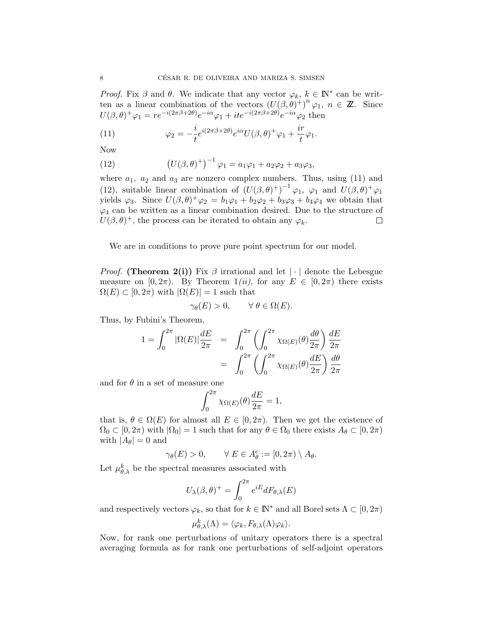*Proof.* Fix  $\beta$  and  $\theta$ . We indicate that any vector  $\varphi_k$ ,  $k \in \mathbb{N}^*$  can be written as a linear combination of the vectors  $(U(\beta, \theta)^+)^n \varphi_1$ ,  $n \in \mathbb{Z}$ . Since  $U(\beta,\theta)^+\varphi_1 = re^{-i(2\pi\beta+2\theta)}e^{-i\alpha}\varphi_1 + ite^{-i(2\pi\beta+2\theta)}e^{-i\alpha}\varphi_2$  then

(11) 
$$
\varphi_2 = -\frac{i}{t} e^{i(2\pi\beta + 2\theta)} e^{i\alpha} U(\beta, \theta)^+ \varphi_1 + \frac{ir}{t} \varphi_1.
$$

Now

(12) 
$$
(U(\beta,\theta)^+)^{-1} \varphi_1 = a_1 \varphi_1 + a_2 \varphi_2 + a_3 \varphi_3,
$$

where  $a_1$ ,  $a_2$  and  $a_3$  are nonzero complex numbers. Thus, using (11) and (12), suitable linear combination of  $(U(\beta,\theta)^+)^{-1} \varphi_1$ ,  $\varphi_1$  and  $U(\beta,\theta)^+ \varphi_1$ yields  $\varphi_3$ . Since  $U(\beta, \theta)^+\varphi_2 = b_1\varphi_1 + b_2\varphi_2 + b_3\varphi_3 + b_4\varphi_4$  we obtain that  $\varphi_4$  can be written as a linear combination desired. Due to the structure of  $U(\beta, \theta)^+$ , the process can be iterated to obtain any  $\varphi_k$ .  $\Box$ 

We are in conditions to prove pure point spectrum for our model.

*Proof.* (Theorem 2(i)) Fix  $\beta$  irrational and let  $|\cdot|$  denote the Lebesgue measure on  $[0, 2\pi)$ . By Theorem  $1(ii)$ , for any  $E \in [0, 2\pi)$  there exists  $\Omega(E) \subset [0, 2\pi)$  with  $|\Omega(E)| = 1$  such that

$$
\gamma_{\theta}(E) > 0, \qquad \forall \ \theta \in \Omega(E).
$$

Thus, by Fubini's Theorem,

$$
1 = \int_0^{2\pi} |\Omega(E)| \frac{dE}{2\pi} = \int_0^{2\pi} \left( \int_0^{2\pi} \chi_{\Omega(E)}(\theta) \frac{d\theta}{2\pi} \right) \frac{dE}{2\pi}
$$

$$
= \int_0^{2\pi} \left( \int_0^{2\pi} \chi_{\Omega(E)}(\theta) \frac{dE}{2\pi} \right) \frac{d\theta}{2\pi}
$$

and for  $\theta$  in a set of measure one

$$
\int_0^{2\pi} \chi_{\Omega(E)}(\theta) \frac{dE}{2\pi} = 1,
$$

that is,  $\theta \in \Omega(E)$  for almost all  $E \in [0, 2\pi)$ . Then we get the existence of  $\Omega_0 \subset [0, 2\pi)$  with  $|\Omega_0| = 1$  such that for any  $\theta \in \Omega_0$  there exists  $A_\theta \subset [0, 2\pi)$ with  $|A_\theta| = 0$  and

$$
\gamma_{\theta}(E) > 0, \qquad \forall E \in A_{\theta}^c := [0, 2\pi) \setminus A_{\theta}.
$$

Let  $\mu_{\theta,\lambda}^k$  be the spectral measures associated with

$$
U_{\lambda}(\beta,\theta)^{+} = \int_0^{2\pi} e^{iE} dF_{\theta,\lambda}(E)
$$

and respectively vectors  $\varphi_k$ , so that for  $k \in \mathbb{N}^*$  and all Borel sets  $\Lambda \subset [0, 2\pi)$ 

$$
\mu_{\theta,\lambda}^k(\Lambda) = \langle \varphi_k, F_{\theta,\lambda}(\Lambda)\varphi_k \rangle.
$$

Now, for rank one perturbations of unitary operators there is a spectral averaging formula as for rank one perturbations of self-adjoint operators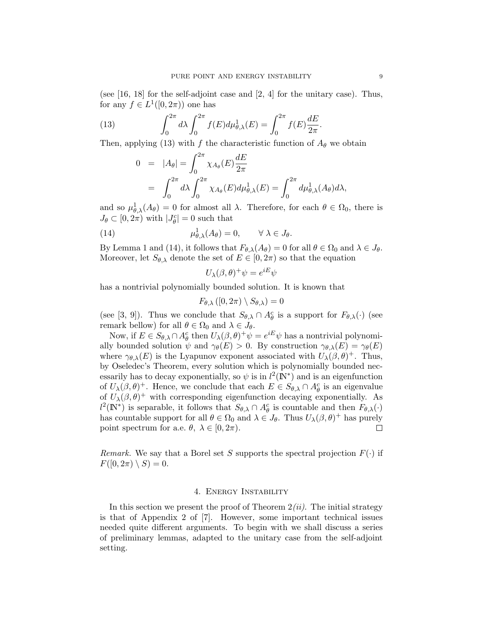(see [16, 18] for the self-adjoint case and [2, 4] for the unitary case). Thus, for any  $f \in L^1([0, 2\pi))$  one has

(13) 
$$
\int_0^{2\pi} d\lambda \int_0^{2\pi} f(E) d\mu_{\theta,\lambda}^1(E) = \int_0^{2\pi} f(E) \frac{dE}{2\pi}.
$$

Then, applying (13) with f the characteristic function of  $A_{\theta}$  we obtain

$$
0 = |A_{\theta}| = \int_0^{2\pi} \chi_{A_{\theta}}(E) \frac{dE}{2\pi}
$$
  
= 
$$
\int_0^{2\pi} d\lambda \int_0^{2\pi} \chi_{A_{\theta}}(E) d\mu_{\theta,\lambda}^1(E) = \int_0^{2\pi} d\mu_{\theta,\lambda}^1(A_{\theta}) d\lambda,
$$

and so  $\mu_{\theta,\lambda}^1(A_\theta) = 0$  for almost all  $\lambda$ . Therefore, for each  $\theta \in \Omega_0$ , there is  $J_{\theta} \subset [0, 2\pi)$  with  $|J_{\theta}^c| = 0$  such that

(14) 
$$
\mu_{\theta,\lambda}^1(A_\theta) = 0, \qquad \forall \lambda \in J_\theta.
$$

By Lemma 1 and (14), it follows that  $F_{\theta,\lambda}(A_{\theta}) = 0$  for all  $\theta \in \Omega_0$  and  $\lambda \in J_{\theta}$ . Moreover, let  $S_{\theta,\lambda}$  denote the set of  $E \in [0, 2\pi)$  so that the equation

$$
U_{\lambda}(\beta,\theta)^{+}\psi=e^{iE}\psi
$$

has a nontrivial polynomially bounded solution. It is known that

$$
F_{\theta,\lambda}\left([0,2\pi)\setminus S_{\theta,\lambda}\right)=0
$$

(see [3, 9]). Thus we conclude that  $S_{\theta,\lambda} \cap A_{\theta}^c$  is a support for  $F_{\theta,\lambda}(\cdot)$  (see remark bellow) for all  $\theta \in \Omega_0$  and  $\lambda \in J_\theta$ .

Now, if  $E \in S_{\theta,\lambda} \cap A_{\theta}^c$  then  $U_{\lambda}(\beta,\theta)^+ \psi = e^{iE} \psi$  has a nontrivial polynomially bounded solution  $\psi$  and  $\gamma_{\theta}(E) > 0$ . By construction  $\gamma_{\theta,\lambda}(E) = \gamma_{\theta}(E)$ where  $\gamma_{\theta,\lambda}(E)$  is the Lyapunov exponent associated with  $U_{\lambda}(\beta,\theta)^{+}$ . Thus, by Oseledec's Theorem, every solution which is polynomially bounded necessarily has to decay exponentially, so  $\psi$  is in  $l^2(\mathbb{N}^*)$  and is an eigenfunction of  $U_{\lambda}(\beta, \theta)^{+}$ . Hence, we conclude that each  $E \in S_{\theta, \lambda} \cap A_{\theta}^{c}$  is an eigenvalue of  $U_{\lambda}(\beta, \theta)^+$  with corresponding eigenfunction decaying exponentially. As  $l^2(\mathbb{N}^*)$  is separable, it follows that  $S_{\theta,\lambda} \cap A_{\theta}^c$  is countable and then  $F_{\theta,\lambda}(\cdot)$ has countable support for all  $\theta \in \Omega_0$  and  $\lambda \in J_{\theta}$ . Thus  $U_{\lambda}(\beta, \theta)^+$  has purely point spectrum for a.e.  $\theta$ ,  $\lambda \in [0, 2\pi)$ . point spectrum for a.e.  $\theta$ ,  $\lambda \in [0, 2\pi)$ .

*Remark.* We say that a Borel set S supports the spectral projection  $F(\cdot)$  if  $F([0, 2\pi) \setminus S) = 0.$ 

#### 4. Energy Instability

In this section we present the proof of Theorem  $2(ii)$ . The initial strategy is that of Appendix 2 of [7]. However, some important technical issues needed quite different arguments. To begin with we shall discuss a series of preliminary lemmas, adapted to the unitary case from the self-adjoint setting.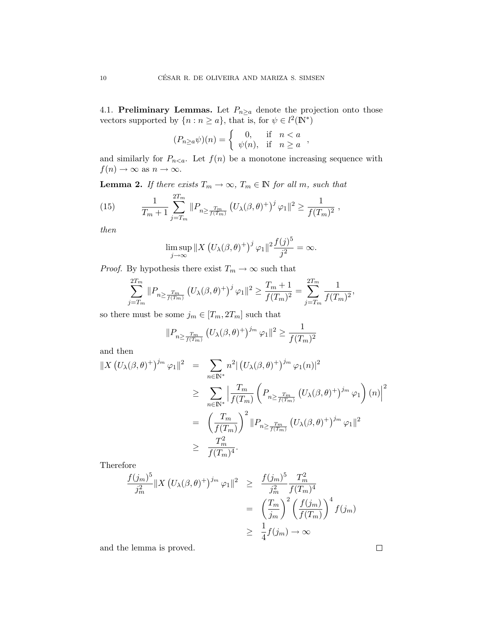4.1. Preliminary Lemmas. Let  $P_{n\geq a}$  denote the projection onto those vectors supported by  $\{n : n \ge a\}$ , that is, for  $\psi \in l^2(\mathbb{N}^*)$ 

$$
(P_{n\geq a}\psi)(n) = \begin{cases} 0, & \text{if } n < a \\ \psi(n), & \text{if } n \geq a \end{cases}
$$

and similarly for  $P_{n \le a}$ . Let  $f(n)$  be a monotone increasing sequence with  $f(n) \to \infty$  as  $n \to \infty$ .

**Lemma 2.** If there exists  $T_m \to \infty$ ,  $T_m \in \mathbb{N}$  for all m, such that

(15) 
$$
\frac{1}{T_m+1} \sum_{j=T_m}^{2T_m} ||P_{n \geq \frac{T_m}{f(T_m)}} (U_{\lambda}(\beta,\theta)^+)^j \varphi_1||^2 \geq \frac{1}{f(T_m)^2},
$$

then

$$
\limsup_{j \to \infty} ||X (U_{\lambda}(\beta, \theta)^{+})^{j} \varphi_{1}||^{2} \frac{f(j)^{5}}{j^{2}} = \infty.
$$

*Proof.* By hypothesis there exist  $T_m \to \infty$  such that

$$
\sum_{j=T_m}^{2T_m} \|P_{n \ge \frac{T_m}{f(T_m)}} (U_\lambda(\beta, \theta)^+)^j \varphi_1 \|^2 \ge \frac{T_m + 1}{f(T_m)^2} = \sum_{j=T_m}^{2T_m} \frac{1}{f(T_m)^2},
$$

so there must be some  $j_m \in [T_m,2T_m]$  such that

$$
||P_{n \ge \frac{T_m}{f(T_m)}} (U_\lambda(\beta, \theta)^+)^{j_m} \varphi_1||^2 \ge \frac{1}{f(T_m)^2}
$$

and then

$$
\begin{split} \left\| X \left( U_{\lambda}(\beta,\theta)^{+} \right)^{j_{m}} \varphi_{1} \right\|^{2} &= \sum_{n \in \mathbb{N}^{*}} n^{2} \left( U_{\lambda}(\beta,\theta)^{+} \right)^{j_{m}} \varphi_{1}(n) \right\|^{2} \\ &\geq \sum_{n \in \mathbb{N}^{*}} \left| \frac{T_{m}}{f(T_{m})} \left( P_{n \geq \frac{T_{m}}{f(T_{m})}} \left( U_{\lambda}(\beta,\theta)^{+} \right)^{j_{m}} \varphi_{1} \right) (n) \right|^{2} \\ &= \left( \frac{T_{m}}{f(T_{m})} \right)^{2} \left\| P_{n \geq \frac{T_{m}}{f(T_{m})}} \left( U_{\lambda}(\beta,\theta)^{+} \right)^{j_{m}} \varphi_{1} \right\|^{2} \\ &\geq \frac{T_{m}^{2}}{f(T_{m})^{4}} . \end{split}
$$

Therefore

$$
\frac{f(j_m)^5}{j_m^2} \|X (U_\lambda(\beta, \theta)^+)^{j_m} \varphi_1\|^2 \geq \frac{f(j_m)^5}{j_m^2} \frac{T_m^2}{f(T_m)^4}
$$

$$
= \left(\frac{T_m}{j_m}\right)^2 \left(\frac{f(j_m)}{f(T_m)}\right)^4 f(j_m)
$$

$$
\geq \frac{1}{4} f(j_m) \to \infty
$$

and the lemma is proved.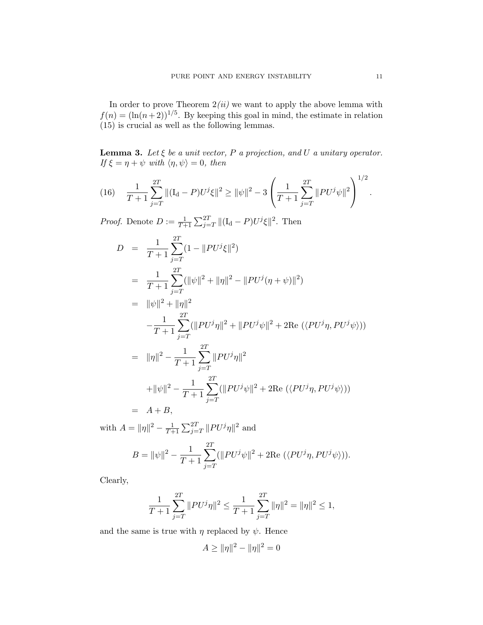In order to prove Theorem  $2(ii)$  we want to apply the above lemma with  $f(n) = (\ln(n+2))^{1/5}$ . By keeping this goal in mind, the estimate in relation (15) is crucial as well as the following lemmas.

**Lemma 3.** Let  $\xi$  be a unit vector, P a projection, and U a unitary operator. If  $\xi = \eta + \psi$  with  $\langle \eta, \psi \rangle = 0$ , then

(16) 
$$
\frac{1}{T+1} \sum_{j=T}^{2T} ||(\mathbf{I}_{\mathbf{d}} - P)U^{j}\xi||^{2} \ge ||\psi||^{2} - 3\left(\frac{1}{T+1} \sum_{j=T}^{2T} ||PU^{j}\psi||^{2}\right)^{1/2}.
$$

*Proof.* Denote  $D := \frac{1}{T+1} \sum_{j=T}^{2T} ||(\mathbf{I}_d - P)U^j \xi||^2$ . Then

$$
D = \frac{1}{T+1} \sum_{j=T}^{2T} (1 - ||PU^{j}\xi||^{2})
$$
  
\n
$$
= \frac{1}{T+1} \sum_{j=T}^{2T} (||\psi||^{2} + ||\eta||^{2} - ||PU^{j}(\eta + \psi)||^{2})
$$
  
\n
$$
= ||\psi||^{2} + ||\eta||^{2}
$$
  
\n
$$
- \frac{1}{T+1} \sum_{j=T}^{2T} (||PU^{j}\eta||^{2} + ||PU^{j}\psi||^{2} + 2\text{Re} (\langle PU^{j}\eta, PU^{j}\psi \rangle))
$$
  
\n
$$
= ||\eta||^{2} - \frac{1}{T+1} \sum_{j=T}^{2T} ||PU^{j}\eta||^{2}
$$
  
\n
$$
+ ||\psi||^{2} - \frac{1}{T+1} \sum_{j=T}^{2T} (||PU^{j}\psi||^{2} + 2\text{Re} (\langle PU^{j}\eta, PU^{j}\psi \rangle))
$$
  
\n
$$
= A + B,
$$

with  $A = ||\eta||^2 - \frac{1}{T+1} \sum_{j=T}^{2T} ||PU^{j}\eta||^2$  and

$$
B = \|\psi\|^2 - \frac{1}{T+1} \sum_{j=T}^{2T} (\|PU^j\psi\|^2 + 2\text{Re}(\langle PU^j\eta, PU^j\psi \rangle)).
$$

Clearly,

$$
\frac{1}{T+1}\sum_{j=T}^{2T} ||PU^{j}\eta||^{2} \le \frac{1}{T+1}\sum_{j=T}^{2T} ||\eta||^{2} = ||\eta||^{2} \le 1,
$$

and the same is true with  $\eta$  replaced by  $\psi$ . Hence

$$
A \ge \|\eta\|^2 - \|\eta\|^2 = 0
$$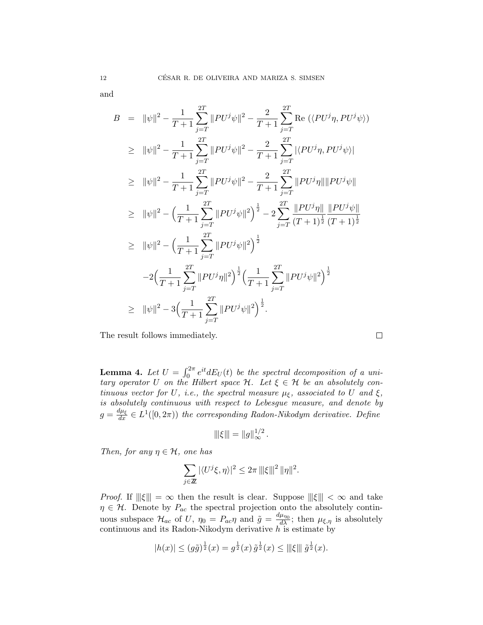and

$$
B = \|\psi\|^2 - \frac{1}{T+1} \sum_{j=T}^{2T} \|PU^j \psi\|^2 - \frac{2}{T+1} \sum_{j=T}^{2T} \text{Re} \left( \langle PU^j \eta, PU^j \psi \rangle \right)
$$
  
\n
$$
\geq \|\psi\|^2 - \frac{1}{T+1} \sum_{j=T}^{2T} \|PU^j \psi\|^2 - \frac{2}{T+1} \sum_{j=T}^{2T} |\langle PU^j \eta, PU^j \psi \rangle|
$$
  
\n
$$
\geq \|\psi\|^2 - \frac{1}{T+1} \sum_{j=T}^{2T} \|PU^j \psi\|^2 - \frac{2}{T+1} \sum_{j=T}^{2T} \|PU^j \eta\| \|PU^j \psi\|
$$
  
\n
$$
\geq \|\psi\|^2 - \left( \frac{1}{T+1} \sum_{j=T}^{2T} \|PU^j \psi\|^2 \right)^{\frac{1}{2}} - 2 \sum_{j=T}^{2T} \frac{\|PU^j \eta\|}{(T+1)^{\frac{1}{2}}} \frac{\|PU^j \psi\|}{(T+1)^{\frac{1}{2}}}
$$
  
\n
$$
\geq \|\psi\|^2 - \left( \frac{1}{T+1} \sum_{j=T}^{2T} \|PU^j \psi\|^2 \right)^{\frac{1}{2}}
$$
  
\n
$$
-2 \left( \frac{1}{T+1} \sum_{j=T}^{2T} \|PU^j \eta\|^2 \right)^{\frac{1}{2}} \left( \frac{1}{T+1} \sum_{j=T}^{2T} \|PU^j \psi\|^2 \right)^{\frac{1}{2}}
$$
  
\n
$$
\geq \|\psi\|^2 - 3 \left( \frac{1}{T+1} \sum_{j=T}^{2T} \|PU^j \psi\|^2 \right)^{\frac{1}{2}}.
$$

The result follows immediately.

**Lemma 4.** Let  $U = \int_0^{2\pi} e^{it} dE_U(t)$  be the spectral decomposition of a unitary operator U on the Hilbert space  $\mathcal{H}$ . Let  $\xi \in \mathcal{H}$  be an absolutely continuous vector for U, i.e., the spectral measure  $\mu_{\xi}$ , associated to U and  $\xi$ , is absolutely continuous with respect to Lebesgue measure, and denote by  $g = \frac{d\mu_{\xi}}{dx} \in L^{1}([0, 2\pi))$  the corresponding Radon-Nikodym derivative. Define

$$
\|\xi\| = \|g\|_{\infty}^{1/2}.
$$

Then, for any  $\eta \in \mathcal{H}$ , one has

$$
\sum_{j\in\mathbb{Z}}|\langle U^j\xi,\eta\rangle|^2\leq 2\pi \left\|\left|\xi\right\|^2\|\eta\|^2\right.
$$

*Proof.* If  $\|\xi\| = \infty$  then the result is clear. Suppose  $\|\xi\| < \infty$  and take  $\eta \in \mathcal{H}$ . Denote by  $P_{ac}$  the spectral projection onto the absolutely continuous subspace  $\mathcal{H}_{ac}$  of U,  $\eta_0 = P_{ac}\eta$  and  $\tilde{g} = \frac{d\mu_{\eta_0}}{d\lambda}$ ; then  $\mu_{\xi,\eta}$  is absolutely continuous and its Radon-Nikodym derivative  $h$  is estimate by

$$
|h(x)| \le (g\tilde{g})^{\frac{1}{2}}(x) = g^{\frac{1}{2}}(x) \tilde{g}^{\frac{1}{2}}(x) \le ||\xi|| \tilde{g}^{\frac{1}{2}}(x).
$$

 $\Box$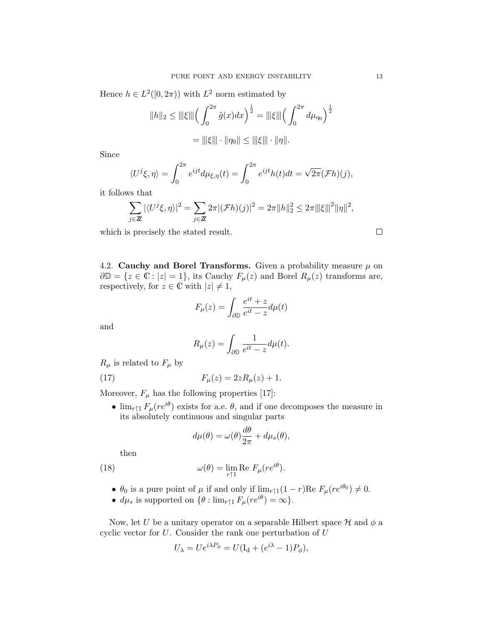Hence  $h \in L^2([0, 2\pi))$  with  $L^2$  norm estimated by

$$
||h||_2 \leq |||\xi||| \left(\int_0^{2\pi} \tilde{g}(x) dx\right)^{\frac{1}{2}} = |||\xi||| \left(\int_0^{2\pi} d\mu_{\eta_0}\right)^{\frac{1}{2}}
$$

$$
= |||\xi||| \cdot ||\eta_0|| \leq |||\xi||| \cdot ||\eta||.
$$

Since

$$
\langle U^j \xi, \eta \rangle = \int_0^{2\pi} e^{ijt} d\mu_{\xi, \eta}(t) = \int_0^{2\pi} e^{ijt} h(t) dt = \sqrt{2\pi} (\mathcal{F}h)(j),
$$

it follows that

$$
\sum_{j\in\mathbb{Z}}|\langle U^j\xi,\eta\rangle|^2=\sum_{j\in\mathbb{Z}}2\pi|(\mathcal{F}h)(j)|^2=2\pi||h||_2^2\leq 2\pi||\xi||^2||\eta||^2,
$$

which is precisely the stated result.

4.2. Cauchy and Borel Transforms. Given a probability measure  $\mu$  on  $\partial \mathbb{D} = \{z \in \mathbb{C} : |z| = 1\}$ , its Cauchy  $F_{\mu}(z)$  and Borel  $R_{\mu}(z)$  transforms are, respectively, for  $z \in \mathbb{C}$  with  $|z| \neq 1$ ,

$$
F_{\mu}(z) = \int_{\partial \mathbb{D}} \frac{e^{it} + z}{e^{it} - z} d\mu(t)
$$

and

$$
R_{\mu}(z) = \int_{\partial \mathbb{D}} \frac{1}{e^{it} - z} d\mu(t).
$$

 $R_{\mu}$  is related to  $F_{\mu}$  by

(17) 
$$
F_{\mu}(z) = 2zR_{\mu}(z) + 1.
$$

Moreover,  $F_{\mu}$  has the following properties [17]:

•  $\lim_{r \uparrow 1} F_{\mu}(re^{i\theta})$  exists for a.e.  $\theta$ , and if one decomposes the measure in its absolutely continuous and singular parts

$$
d\mu(\theta) = \omega(\theta)\frac{d\theta}{2\pi} + d\mu_s(\theta),
$$

then

(18) 
$$
\omega(\theta) = \lim_{r \uparrow 1} \text{Re } F_{\mu}(re^{i\theta}).
$$

•  $\theta_0$  is a pure point of  $\mu$  if and only if  $\lim_{r \uparrow 1} (1 - r)$ Re  $F_{\mu}(re^{i\theta_0}) \neq 0$ .

•  $d\mu_s$  is supported on  $\{\theta : \lim_{r \uparrow 1} F_\mu(re^{i\theta}) = \infty\}.$ 

Now, let U be a unitary operator on a separable Hilbert space  $\mathcal H$  and  $\phi$  a cyclic vector for  $U$ . Consider the rank one perturbation of  $U$ 

$$
U_{\lambda} = U e^{i\lambda P_{\phi}} = U(I_{d} + (e^{i\lambda} - 1)P_{\phi}),
$$

 $\Box$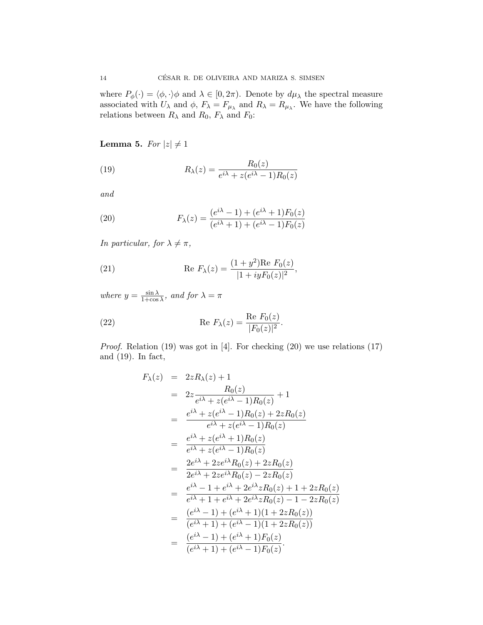where  $P_{\phi}(\cdot) = \langle \phi, \cdot \rangle \phi$  and  $\lambda \in [0, 2\pi)$ . Denote by  $d\mu_{\lambda}$  the spectral measure associated with  $U_{\lambda}$  and  $\phi$ ,  $F_{\lambda} = F_{\mu_{\lambda}}$  and  $R_{\lambda} = R_{\mu_{\lambda}}$ . We have the following relations between  $R_{\lambda}$  and  $R_0$ ,  $F_{\lambda}$  and  $F_0$ :

# Lemma 5. For  $|z| \neq 1$

(19) 
$$
R_{\lambda}(z) = \frac{R_0(z)}{e^{i\lambda} + z(e^{i\lambda} - 1)R_0(z)}
$$

and

(20) 
$$
F_{\lambda}(z) = \frac{(e^{i\lambda} - 1) + (e^{i\lambda} + 1)F_0(z)}{(e^{i\lambda} + 1) + (e^{i\lambda} - 1)F_0(z)}
$$

In particular, for  $\lambda \neq \pi$ ,

(21) 
$$
\operatorname{Re} F_{\lambda}(z) = \frac{(1+y^2)\operatorname{Re} F_0(z)}{|1+iyF_0(z)|^2},
$$

where  $y = \frac{\sin \lambda}{1 + \cos \lambda}$ , and for  $\lambda = \pi$ 

(22) 
$$
\operatorname{Re} F_{\lambda}(z) = \frac{\operatorname{Re} F_0(z)}{|F_0(z)|^2}.
$$

*Proof.* Relation (19) was got in [4]. For checking (20) we use relations (17) and (19). In fact,

$$
F_{\lambda}(z) = 2zR_{\lambda}(z) + 1
$$
  
\n
$$
= 2z \frac{R_{0}(z)}{e^{i\lambda} + z(e^{i\lambda} - 1)R_{0}(z)} + 1
$$
  
\n
$$
= \frac{e^{i\lambda} + z(e^{i\lambda} - 1)R_{0}(z) + 2zR_{0}(z)}{e^{i\lambda} + z(e^{i\lambda} - 1)R_{0}(z)}
$$
  
\n
$$
= \frac{e^{i\lambda} + z(e^{i\lambda} + 1)R_{0}(z)}{e^{i\lambda} + z(e^{i\lambda} - 1)R_{0}(z)}
$$
  
\n
$$
= \frac{2e^{i\lambda} + 2ze^{i\lambda}R_{0}(z) + 2zR_{0}(z)}{2e^{i\lambda} + 2ze^{i\lambda}R_{0}(z) - 2zR_{0}(z)}
$$
  
\n
$$
= \frac{e^{i\lambda} - 1 + e^{i\lambda} + 2e^{i\lambda}zR_{0}(z) + 1 + 2zR_{0}(z)}{e^{i\lambda} + 1 + e^{i\lambda} + 2e^{i\lambda}zR_{0}(z) - 1 - 2zR_{0}(z)}
$$
  
\n
$$
= \frac{(e^{i\lambda} - 1) + (e^{i\lambda} + 1)(1 + 2zR_{0}(z))}{(e^{i\lambda} + 1) + (e^{i\lambda} - 1)(1 + 2zR_{0}(z))}
$$
  
\n
$$
= \frac{(e^{i\lambda} - 1) + (e^{i\lambda} + 1)F_{0}(z)}{(e^{i\lambda} + 1) + (e^{i\lambda} - 1)F_{0}(z)}.
$$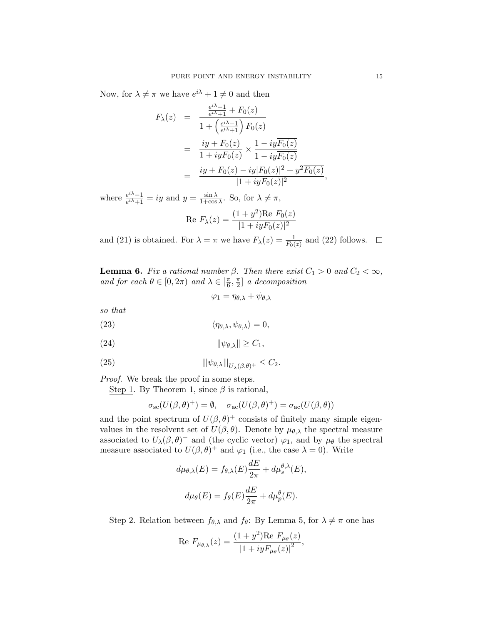Now, for  $\lambda \neq \pi$  we have  $e^{i\lambda} + 1 \neq 0$  and then

$$
F_{\lambda}(z) = \frac{\frac{e^{i\lambda}-1}{e^{i\lambda}+1} + F_0(z)}{1 + \left(\frac{e^{i\lambda}-1}{e^{i\lambda}+1}\right)F_0(z)}
$$
  
= 
$$
\frac{iy + F_0(z)}{1 + iyF_0(z)} \times \frac{1 - iyF_0(z)}{1 - iyF_0(z)}
$$
  
= 
$$
\frac{iy + F_0(z) - iy|F_0(z)|^2 + y^2\overline{F_0(z)}}{|1 + iyF_0(z)|^2},
$$

where  $\frac{e^{i\lambda}-1}{e^{i\lambda}+1} = iy$  and  $y = \frac{\sin \lambda}{1+\cos \lambda}$ . So, for  $\lambda \neq \pi$ ,  $(1 + y^2)$  $\mathbf{D}_\alpha$   $\mathbf{F}_\alpha(z)$ 

Re 
$$
F_{\lambda}(z) = \frac{(1+y^2)\text{Re }F_0(z)}{|1+iyF_0(z)|^2}
$$

and (21) is obtained. For  $\lambda = \pi$  we have  $F_{\lambda}(z) = \frac{1}{F_0(z)}$  and (22) follows.

**Lemma 6.** Fix a rational number  $\beta$ . Then there exist  $C_1 > 0$  and  $C_2 < \infty$ , and for each  $\theta \in [0, 2\pi)$  and  $\lambda \in [\frac{\pi}{6}, \frac{\pi}{2}]$  a decomposition

$$
\varphi_1 = \eta_{\theta,\lambda} + \psi_{\theta,\lambda}
$$

so that

(23) 
$$
\langle \eta_{\theta,\lambda}, \psi_{\theta,\lambda} \rangle = 0,
$$

$$
||\psi_{\theta,\lambda}|| \geq C_1,
$$

(25) 
$$
\|\psi_{\theta,\lambda}\|_{U_{\lambda}(\beta,\theta)^{+}} \leq C_2.
$$

Proof. We break the proof in some steps.

Step 1. By Theorem 1, since  $\beta$  is rational,

$$
\sigma_{\rm sc}(U(\beta,\theta)^+) = \emptyset, \quad \sigma_{\rm ac}(U(\beta,\theta)^+) = \sigma_{\rm ac}(U(\beta,\theta))
$$

and the point spectrum of  $U(\beta, \theta)^+$  consists of finitely many simple eigenvalues in the resolvent set of  $U(\beta, \theta)$ . Denote by  $\mu_{\theta, \lambda}$  the spectral measure associated to  $U_{\lambda}(\beta, \theta)^{+}$  and (the cyclic vector)  $\varphi_1$ , and by  $\mu_{\theta}$  the spectral measure associated to  $U(\beta, \theta)^+$  and  $\varphi_1$  (i.e., the case  $\lambda = 0$ ). Write

 $\overline{a}$ 

$$
d\mu_{\theta,\lambda}(E) = f_{\theta,\lambda}(E)\frac{dE}{2\pi} + d\mu_s^{\theta,\lambda}(E),
$$
  

$$
d\mu_{\theta}(E) = f_{\theta}(E)\frac{dE}{2\pi} + d\mu_p^{\theta}(E).
$$

Step 2. Relation between  $f_{\theta,\lambda}$  and  $f_{\theta}$ : By Lemma 5, for  $\lambda \neq \pi$  one has

Re 
$$
F_{\mu_{\theta,\lambda}}(z) = \frac{(1+y^2)\text{Re } F_{\mu_{\theta}}(z)}{|1+iyF_{\mu_{\theta}}(z)|^2}
$$
,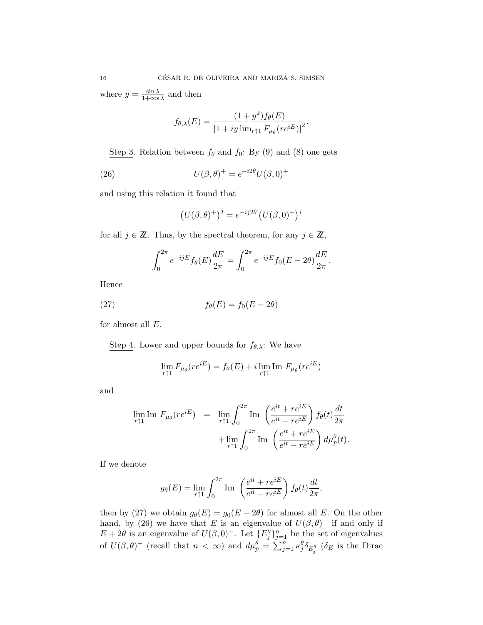where  $y = \frac{\sin \lambda}{1 + \cos \lambda}$  and then

$$
f_{\theta,\lambda}(E) = \frac{(1+y^2)f_{\theta}(E)}{|1+iy\lim_{r\uparrow 1} F_{\mu_{\theta}}(re^{iE})|^2}.
$$

Step 3. Relation between  $f_{\theta}$  and  $f_0$ : By (9) and (8) one gets

(26) 
$$
U(\beta, \theta)^{+} = e^{-i2\theta} U(\beta, 0)^{+}
$$

and using this relation it found that

$$
\left(U(\beta,\theta)^{+}\right)^{j} = e^{-ij2\theta} \left(U(\beta,0)^{+}\right)^{j}
$$

for all  $j \in \mathbb{Z}$ . Thus, by the spectral theorem, for any  $j \in \mathbb{Z}$ ,

$$
\int_0^{2\pi} e^{-ijE} f_\theta(E) \frac{dE}{2\pi} = \int_0^{2\pi} e^{-ijE} f_0(E - 2\theta) \frac{dE}{2\pi}.
$$

Hence

(27) 
$$
f_{\theta}(E) = f_0(E - 2\theta)
$$

for almost all  $E$ .

Step 4. Lower and upper bounds for  $f_{\theta,\lambda}$ : We have

$$
\lim_{r \uparrow 1} F_{\mu_\theta}(re^{iE}) = f_\theta(E) + i \lim_{r \uparrow 1} \text{Im } F_{\mu_\theta}(re^{iE})
$$

and

$$
\lim_{r \uparrow 1} \text{Im } F_{\mu_{\theta}}(re^{iE}) = \lim_{r \uparrow 1} \int_0^{2\pi} \text{Im } \left( \frac{e^{it} + re^{iE}}{e^{it} - re^{iE}} \right) f_{\theta}(t) \frac{dt}{2\pi} + \lim_{r \uparrow 1} \int_0^{2\pi} \text{Im } \left( \frac{e^{it} + re^{iE}}{e^{it} - re^{iE}} \right) d\mu_{p}^{\theta}(t).
$$

If we denote

$$
g_{\theta}(E) = \lim_{r \uparrow 1} \int_0^{2\pi} \text{Im} \left( \frac{e^{it} + re^{iE}}{e^{it} - re^{iE}} \right) f_{\theta}(t) \frac{dt}{2\pi},
$$

then by (27) we obtain  $g_{\theta}(E) = g_0(E - 2\theta)$  for almost all E. On the other hand, by (26) we have that E is an eigenvalue of  $U(\beta, \theta)^+$  if and only if  $E + 2\theta$  is an eigenvalue of  $U(\beta, 0)^+$ . Let  $\{E_j^{\theta}\}_{j=1}^n$  be the set of eigenvalues of  $U(\beta, \theta)^+$  (recall that  $n < \infty$ ) and  $d\mu_p^{\theta} = \sum_{j=1}^n \kappa_j^{\theta} \delta_{E_j^{\theta}}$  ( $\delta_E$  is the Dirac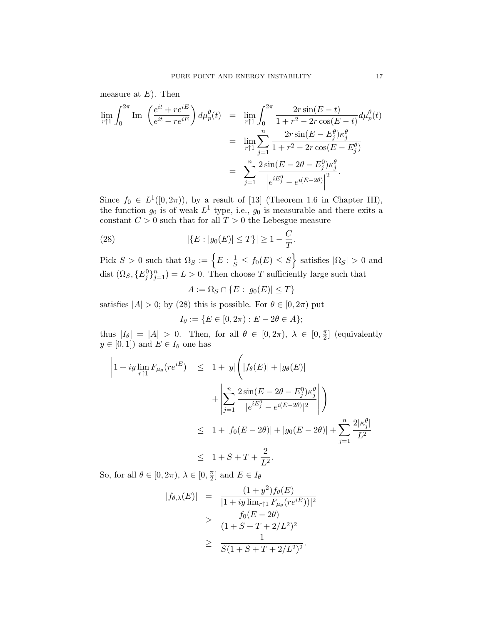measure at  $E$ ). Then

$$
\lim_{r \uparrow 1} \int_0^{2\pi} \text{Im} \left( \frac{e^{it} + re^{iE}}{e^{it} - re^{iE}} \right) d\mu_p^{\theta}(t) = \lim_{r \uparrow 1} \int_0^{2\pi} \frac{2r \sin(E - t)}{1 + r^2 - 2r \cos(E - t)} d\mu_p^{\theta}(t)
$$

$$
= \lim_{r \uparrow 1} \sum_{j=1}^n \frac{2r \sin(E - E_j^{\theta}) \kappa_j^{\theta}}{1 + r^2 - 2r \cos(E - E_j^{\theta})}
$$

$$
= \sum_{j=1}^n \frac{2 \sin(E - 2\theta - E_j^0) \kappa_j^{\theta}}{\left| e^{iE_j^0} - e^{i(E - 2\theta)} \right|^2}.
$$

Since  $f_0 \in L^1([0, 2\pi))$ , by a result of [13] (Theorem 1.6 in Chapter III), the function  $g_0$  is of weak  $L^1$  type, i.e.,  $g_0$  is measurable and there exits a constant  $C > 0$  such that for all  $T > 0$  the Lebesgue measure

(28) 
$$
|\{E : |g_0(E)| \le T\}| \ge 1 - \frac{C}{T}.
$$

Pick  $S > 0$  such that  $\Omega_S := \left\{ E : \frac{1}{S} \le f_0(E) \le S \right\}$  satisfies  $|\Omega_S| > 0$  and dist  $(\Omega_S, \{E_j^0\}_{j=1}^n) = L > 0$ . Then choose T sufficiently large such that

$$
A:=\Omega_S\cap\{E:|g_0(E)|\leq T\}
$$

satisfies  $|A| > 0$ ; by (28) this is possible. For  $\theta \in [0, 2\pi)$  put

$$
I_{\theta} := \{ E \in [0, 2\pi) : E - 2\theta \in A \};
$$

thus  $|I_{\theta}| = |A| > 0$ . Then, for all  $\theta \in [0, 2\pi)$ ,  $\lambda \in [0, \frac{\pi}{2}]$  (equivalently  $y \in [0, 1]$  and  $E \in I_{\theta}$  one has

$$
\left| 1 + iy \lim_{r \uparrow 1} F_{\mu_{\theta}}(re^{iE}) \right| \leq 1 + |y| \left( |f_{\theta}(E)| + |g_{\theta}(E)| + \left| \sum_{j=1}^{n} \frac{2 \sin(E - 2\theta - E_{j}^{0}) \kappa_{j}^{\theta}}{|e^{iE_{j}^{0}} - e^{i(E - 2\theta)}|^{2}} \right| \right)
$$
  

$$
\leq 1 + |f_{0}(E - 2\theta)| + |g_{0}(E - 2\theta)| + \sum_{j=1}^{n} \frac{2|\kappa_{j}^{\theta}|}{L^{2}}
$$
  

$$
\leq 1 + S + T + \frac{2}{L^{2}}.
$$

So, for all  $\theta \in [0, 2\pi)$ ,  $\lambda \in [0, \frac{\pi}{2}]$  and  $E \in I_{\theta}$ 

$$
|f_{\theta,\lambda}(E)| = \frac{(1+y^2)f_{\theta}(E)}{|1+iy\lim_{r\uparrow 1}F_{\mu_{\theta}}(re^{iE}))|^2}
$$
  
\n
$$
\geq \frac{f_0(E-2\theta)}{(1+S+T+2/L^2)^2}
$$
  
\n
$$
\geq \frac{1}{S(1+S+T+2/L^2)^2}.
$$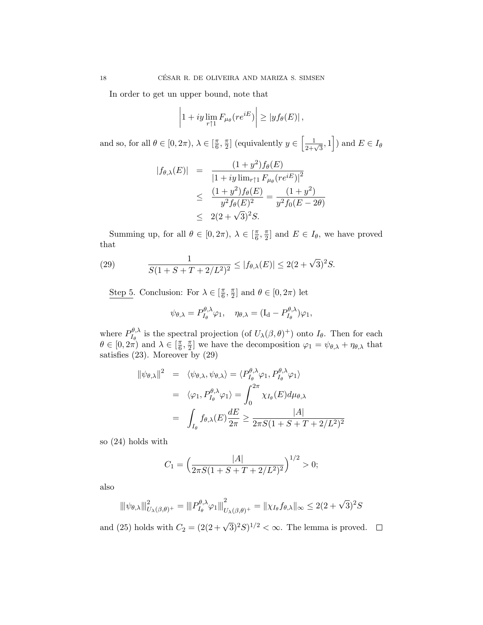In order to get un upper bound, note that

$$
\left|1 + iy \lim_{r \uparrow 1} F_{\mu_{\theta}}(re^{iE})\right| \ge |y f_{\theta}(E)|,
$$

and so, for all  $\theta \in [0, 2\pi)$ ,  $\lambda \in [\frac{\pi}{6}, \frac{\pi}{2}]$  (equivalently  $y \in \left[\frac{1}{2+\sqrt{3}}, 1\right]$ ) and  $E \in I_{\theta}$ 

$$
|f_{\theta,\lambda}(E)| = \frac{(1+y^2)f_{\theta}(E)}{|1+iy\lim_{r\uparrow 1}F_{\mu_{\theta}}(re^{iE})|^2}
$$
  
\n
$$
\leq \frac{(1+y^2)f_{\theta}(E)}{y^2f_{\theta}(E)^2} = \frac{(1+y^2)}{y^2f_0(E-2\theta)}
$$
  
\n
$$
\leq 2(2+\sqrt{3})^2S.
$$

Summing up, for all  $\theta \in [0, 2\pi)$ ,  $\lambda \in [\frac{\pi}{6}, \frac{\pi}{2}]$  and  $E \in I_{\theta}$ , we have proved that

(29) 
$$
\frac{1}{S(1+S+T+2/L^2)^2} \le |f_{\theta,\lambda}(E)| \le 2(2+\sqrt{3})^2 S.
$$

Step 5. Conclusion: For  $\lambda \in [\frac{\pi}{6}, \frac{\pi}{2}]$  and  $\theta \in [0, 2\pi)$  let

$$
\psi_{\theta,\lambda} = P_{I_{\theta}}^{\theta,\lambda} \varphi_1, \quad \eta_{\theta,\lambda} = (I_d - P_{I_{\theta}}^{\theta,\lambda}) \varphi_1,
$$

where  $P_{I_{\theta}}^{\theta,\lambda}$  is the spectral projection (of  $U_{\lambda}(\beta,\theta)^{+}$ ) onto  $I_{\theta}$ . Then for each  $\theta \in [0, 2\pi)$  and  $\lambda \in [\frac{\pi}{6}, \frac{\pi}{2}]$  we have the decomposition  $\varphi_1 = \psi_{\theta,\lambda} + \eta_{\theta,\lambda}$  that satisfies (23). Moreover by (29)

$$
\|\psi_{\theta,\lambda}\|^2 = \langle \psi_{\theta,\lambda}, \psi_{\theta,\lambda} \rangle = \langle P_{I_{\theta}}^{\theta,\lambda} \varphi_1, P_{I_{\theta}}^{\theta,\lambda} \varphi_1 \rangle
$$
  

$$
= \langle \varphi_1, P_{I_{\theta}}^{\theta,\lambda} \varphi_1 \rangle = \int_0^{2\pi} \chi_{I_{\theta}}(E) d\mu_{\theta,\lambda}
$$
  

$$
= \int_{I_{\theta}} f_{\theta,\lambda}(E) \frac{dE}{2\pi} \ge \frac{|A|}{2\pi S(1 + S + T + 2/L^2)^2}
$$

so (24) holds with

$$
C_1 = \left(\frac{|A|}{2\pi S(1 + S + T + 2/L^2)^2}\right)^{1/2} > 0;
$$

also

$$
\|\psi_{\theta,\lambda}\|_{U_{\lambda}(\beta,\theta)^{+}}^2 = \|P_{I_{\theta}}^{\theta,\lambda}\varphi_1\|_{U_{\lambda}(\beta,\theta)^{+}}^2 = \|\chi_{I_{\theta}}f_{\theta,\lambda}\|_{\infty} \leq 2(2+\sqrt{3})^2S
$$

and (25) holds with  $C_2 = (2(2+\sqrt{3})^2S)^{1/2} < \infty$ . The lemma is proved.  $\Box$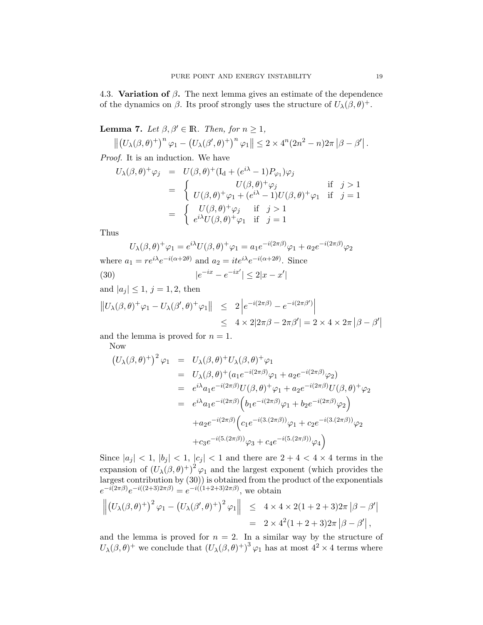4.3. Variation of  $\beta$ . The next lemma gives an estimate of the dependence of the dynamics on  $\beta$ . Its proof strongly uses the structure of  $U_{\lambda}(\beta, \theta)^{+}$ .

**Lemma 7.** Let  $\beta, \beta' \in \mathbb{R}$ . Then, for  $n \geq 1$ ,

$$
\left\| \left( U_{\lambda}(\beta,\theta)^{+} \right)^{n} \varphi_{1} - \left( U_{\lambda}(\beta',\theta)^{+} \right)^{n} \varphi_{1} \right\| \leq 2 \times 4^{n} (2n^{2} - n) 2\pi \left| \beta - \beta' \right|.
$$

Proof. It is an induction. We have

$$
U_{\lambda}(\beta,\theta)^{+}\varphi_{j} = U(\beta,\theta)^{+}(I_{d} + (e^{i\lambda} - 1)P_{\varphi_{1}})\varphi_{j}
$$
  
\n
$$
= \begin{cases} U(\beta,\theta)^{+}\varphi_{j} & \text{if } j > 1 \\ U(\beta,\theta)^{+}\varphi_{1} + (e^{i\lambda} - 1)U(\beta,\theta)^{+}\varphi_{1} & \text{if } j = 1 \end{cases}
$$
  
\n
$$
= \begin{cases} U(\beta,\theta)^{+}\varphi_{j} & \text{if } j > 1 \\ e^{i\lambda}U(\beta,\theta)^{+}\varphi_{1} & \text{if } j = 1 \end{cases}
$$

Thus

$$
U_{\lambda}(\beta,\theta)^{+}\varphi_{1}=e^{i\lambda}U(\beta,\theta)^{+}\varphi_{1}=a_{1}e^{-i(2\pi\beta)}\varphi_{1}+a_{2}e^{-i(2\pi\beta)}\varphi_{2}
$$

where  $a_1 = re^{i\lambda}e^{-i(\alpha+2\theta)}$  and  $a_2 = ite^{i\lambda}e^{-i(\alpha+2\theta)}$ . Since

(30)  $|e^{-ix} - e^{-ix'}| \le 2|x - x'|$ 

and  $|a_j| \le 1, j = 1, 2$ , then

$$
||U_{\lambda}(\beta,\theta)^{+}\varphi_{1} - U_{\lambda}(\beta',\theta)^{+}\varphi_{1}|| \leq 2 \left| e^{-i(2\pi\beta)} - e^{-i(2\pi\beta')} \right|
$$
  

$$
\leq 4 \times 2|2\pi\beta - 2\pi\beta'| = 2 \times 4 \times 2\pi |\beta - \beta'|
$$

and the lemma is proved for  $n = 1$ .

Now

$$
(U_{\lambda}(\beta,\theta)^{+})^{2} \varphi_{1} = U_{\lambda}(\beta,\theta)^{+} U_{\lambda}(\beta,\theta)^{+} \varphi_{1}
$$
  
\n
$$
= U_{\lambda}(\beta,\theta)^{+} (a_{1}e^{-i(2\pi\beta)}\varphi_{1} + a_{2}e^{-i(2\pi\beta)}\varphi_{2})
$$
  
\n
$$
= e^{i\lambda} a_{1}e^{-i(2\pi\beta)}U(\beta,\theta)^{+} \varphi_{1} + a_{2}e^{-i(2\pi\beta)}U(\beta,\theta)^{+} \varphi_{2}
$$
  
\n
$$
= e^{i\lambda} a_{1}e^{-i(2\pi\beta)} \Big(b_{1}e^{-i(2\pi\beta)}\varphi_{1} + b_{2}e^{-i(2\pi\beta)}\varphi_{2}\Big)
$$
  
\n
$$
+ a_{2}e^{-i(2\pi\beta)} \Big(c_{1}e^{-i(3.(2\pi\beta))}\varphi_{1} + c_{2}e^{-i(3.(2\pi\beta))}\varphi_{2}
$$
  
\n
$$
+ c_{3}e^{-i(5.(2\pi\beta))}\varphi_{3} + c_{4}e^{-i(5.(2\pi\beta))}\varphi_{4}\Big)
$$

Since  $|a_j| < 1$ ,  $|b_j| < 1$ ,  $|c_j| < 1$  and there are  $2 + 4 < 4 \times 4$  terms in the expansion of  $(U_{\lambda}(\beta,\theta)^{+})^{2}\varphi_{1}$  and the largest exponent (which provides the largest contribution by (30)) is obtained from the product of the exponentials  $e^{-i(2\pi\beta)}e^{-i((2+3)2\pi\beta)} = e^{-i((1+2+3)2\pi\beta)}$ , we obtain

$$
\left\| \left( U_{\lambda}(\beta,\theta)^{+} \right)^{2} \varphi_{1} - \left( U_{\lambda}(\beta^{\prime},\theta)^{+} \right)^{2} \varphi_{1} \right\| \leq 4 \times 4 \times 2(1+2+3)2\pi \left| \beta - \beta^{\prime} \right|
$$
  
= 2 \times 4^{2}(1+2+3)2\pi \left| \beta - \beta^{\prime} \right|,

and the lemma is proved for  $n = 2$ . In a similar way by the structure of  $U_{\lambda}(\beta, \theta)^{+}$  we conclude that  $(U_{\lambda}(\beta, \theta)^{+})^{3} \varphi_{1}$  has at most  $4^{2} \times 4$  terms where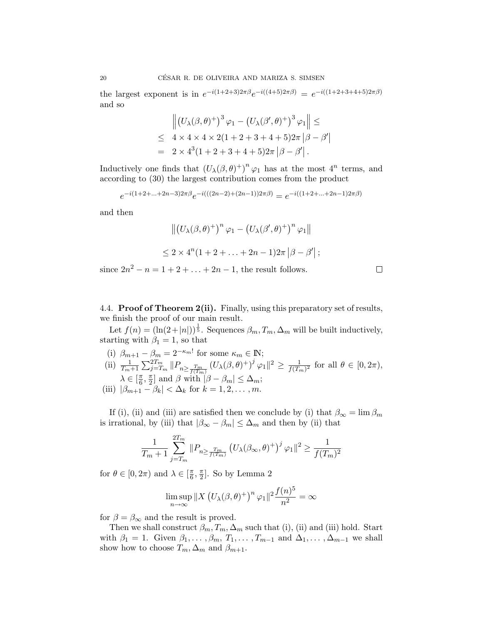the largest exponent is in  $e^{-i(1+2+3)2\pi\beta}e^{-i((4+5)2\pi\beta)} = e^{-i((1+2+3+4+5)2\pi\beta)}$ and so

$$
\| (U_{\lambda}(\beta,\theta)^{+})^{3} \varphi_{1} - (U_{\lambda}(\beta',\theta)^{+})^{3} \varphi_{1} \| \leq
$$
  
\n
$$
\leq 4 \times 4 \times 4 \times 2(1 + 2 + 3 + 4 + 5)2\pi |\beta - \beta'|
$$
  
\n
$$
= 2 \times 4^{3} (1 + 2 + 3 + 4 + 5)2\pi |\beta - \beta'|.
$$

Inductively one finds that  $(U_\lambda(\beta, \theta)^+)^n \varphi_1$  has at the most  $4^n$  terms, and according to (30) the largest contribution comes from the product

$$
e^{-i(1+2+\ldots+2n-3)2\pi\beta}e^{-i(((2n-2)+(2n-1))2\pi\beta)}=e^{-i((1+2+\ldots+2n-1)2\pi\beta)}
$$

and then

$$
\left\| \left( U_{\lambda}(\beta,\theta)^{+} \right)^{n} \varphi_{1} - \left( U_{\lambda}(\beta',\theta)^{+} \right)^{n} \varphi_{1} \right\|
$$
  

$$
\leq 2 \times 4^{n} (1 + 2 + \ldots + 2n - 1) 2\pi \left| \beta - \beta' \right|;
$$

since  $2n^2 - n = 1 + 2 + ... + 2n - 1$ , the result follows.

 $\Box$ 

4.4. Proof of Theorem 2(ii). Finally, using this preparatory set of results, we finish the proof of our main result.

Let  $f(n) = (\ln(2+|n|))^{\frac{1}{5}}$ . Sequences  $\beta_m, T_m, \Delta_m$  will be built inductively, starting with  $\beta_1 = 1$ , so that

- (i)  $\beta_{m+1} \beta_m = 2^{-\kappa_m!}$  for some  $\kappa_m \in \mathbb{N}$ ; (ii)  $\frac{1}{T_m+1} \sum_{j=T_m}^{2T_m} ||P_{n \ge \frac{T_m}{f(T_m)}} (U_\lambda(\beta, \theta)^+)^j \varphi_1||^2 \ge \frac{1}{f(T_m)^2}$  for all  $\theta \in [0, 2\pi)$ ,  $\lambda \in \left[\frac{\pi}{6}, \frac{\pi}{2}\right]$  and  $\beta$  with  $|\beta - \beta_m| \leq \Delta_m$ ;
- (iii)  $|\beta_{m+1} \beta_k| < \Delta_k$  for  $k = 1, 2, ..., m$ .

If (i), (ii) and (iii) are satisfied then we conclude by (i) that  $\beta_{\infty} = \lim \beta_m$ is irrational, by (iii) that  $|\beta_{\infty} - \beta_m| \leq \Delta_m$  and then by (ii) that

$$
\frac{1}{T_m+1} \sum_{j=T_m}^{2T_m} \|P_{n \ge \frac{T_m}{f(T_m)}} \left( U_{\lambda}(\beta_{\infty}, \theta)^+ \right)^j \varphi_1 \|^2 \ge \frac{1}{f(T_m)^2}
$$

for  $\theta \in [0, 2\pi)$  and  $\lambda \in [\frac{\pi}{6}, \frac{\pi}{2}]$ . So by Lemma 2

$$
\limsup_{n \to \infty} ||X (U_{\lambda}(\beta, \theta)^{+})^{n} \varphi_{1}||^{2} \frac{f(n)^{5}}{n^{2}} = \infty
$$

for  $\beta = \beta_{\infty}$  and the result is proved.

Then we shall construct  $\beta_m, T_m, \Delta_m$  such that (i), (ii) and (iii) hold. Start with  $\beta_1 = 1$ . Given  $\beta_1, \ldots, \beta_m, T_1, \ldots, T_{m-1}$  and  $\Delta_1, \ldots, \Delta_{m-1}$  we shall show how to choose  $T_m, \Delta_m$  and  $\beta_{m+1}$ .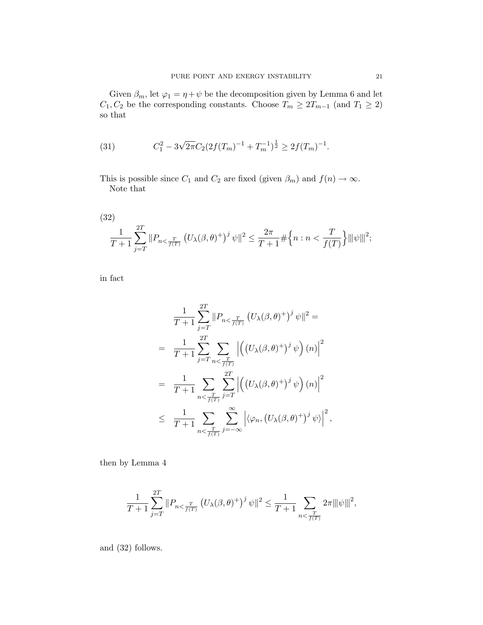Given  $\beta_m$ , let  $\varphi_1 = \eta + \psi$  be the decomposition given by Lemma 6 and let  $C_1, C_2$  be the corresponding constants. Choose  $T_m \geq 2T_{m-1}$  (and  $T_1 \geq 2$ ) so that

(31) 
$$
C_1^2 - 3\sqrt{2\pi}C_2(2f(T_m)^{-1} + T_m^{-1})^{\frac{1}{2}} \ge 2f(T_m)^{-1}.
$$

This is possible since  $C_1$  and  $C_2$  are fixed (given  $\beta_m$ ) and  $f(n) \to \infty$ . Note that

(32)  
\n
$$
\frac{1}{T+1} \sum_{j=T}^{2T} ||P_{n<\frac{T}{f(T)}} (U_{\lambda}(\beta,\theta)^{+})^{j} \psi||^{2} \leq \frac{2\pi}{T+1} \# \Big\{ n : n < \frac{T}{f(T)} \Big\} ||\psi||^{2};
$$

in fact

$$
\frac{1}{T+1} \sum_{j=T}^{2T} ||P_{n<\frac{T}{f(T)}} (U_{\lambda}(\beta,\theta)^{+})^{j} \psi||^{2} =
$$
\n
$$
= \frac{1}{T+1} \sum_{j=T}^{2T} \sum_{n<\frac{T}{f(T)}} \left| \left( (U_{\lambda}(\beta,\theta)^{+})^{j} \psi \right) (n) \right|^{2}
$$
\n
$$
= \frac{1}{T+1} \sum_{n<\frac{T}{f(T)}} \sum_{j=T}^{2T} \left| \left( (U_{\lambda}(\beta,\theta)^{+})^{j} \psi \right) (n) \right|^{2}
$$
\n
$$
\leq \frac{1}{T+1} \sum_{n<\frac{T}{f(T)}} \sum_{j=-\infty}^{\infty} \left| \langle \varphi_{n}, (U_{\lambda}(\beta,\theta)^{+})^{j} \psi \rangle \right|^{2},
$$

then by Lemma 4

$$
\frac{1}{T+1} \sum_{j=T}^{2T} \|P_{n \leq \frac{T}{f(T)}} \left( U_{\lambda}(\beta, \theta)^{+} \right)^{j} \psi \|^2 \leq \frac{1}{T+1} \sum_{n \leq \frac{T}{f(T)}} 2\pi \|\|\psi\|\|^2,
$$

and (32) follows.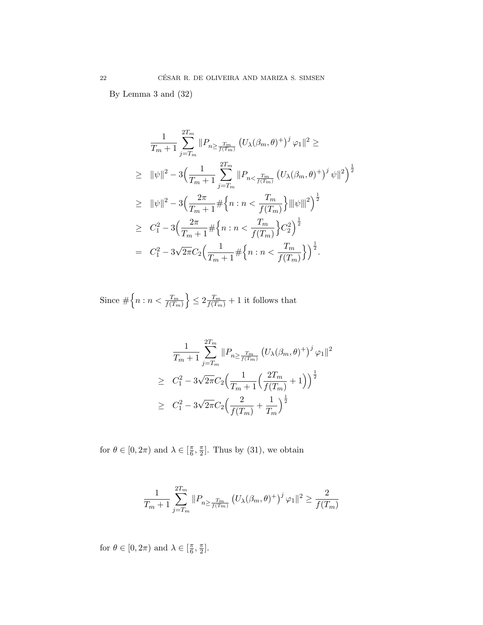By Lemma 3 and (32)

$$
\frac{1}{T_m+1} \sum_{j=T_m}^{2T_m} ||P_{n \ge \frac{T_m}{f(T_m)}} (U_{\lambda}(\beta_m, \theta)^+)^j \varphi_1||^2 \ge
$$
\n
$$
\ge ||\psi||^2 - 3\Big(\frac{1}{T_m+1} \sum_{j=T_m}^{2T_m} ||P_{n < \frac{T_m}{f(T_m)}} (U_{\lambda}(\beta_m, \theta)^+)^j \psi||^2\Big)^{\frac{1}{2}}
$$
\n
$$
\ge ||\psi||^2 - 3\Big(\frac{2\pi}{T_m+1} \#\Big\{n : n < \frac{T_m}{f(T_m)}\Big\} ||\psi||^2\Big)^{\frac{1}{2}}
$$
\n
$$
\ge C_1^2 - 3\Big(\frac{2\pi}{T_m+1} \#\Big\{n : n < \frac{T_m}{f(T_m)}\Big\} C_2^2\Big)^{\frac{1}{2}}
$$
\n
$$
= C_1^2 - 3\sqrt{2\pi} C_2 \Big(\frac{1}{T_m+1} \#\Big\{n : n < \frac{T_m}{f(T_m)}\Big\}\Big)^{\frac{1}{2}}.
$$

Since  $\#\left\{n : n < \frac{T_m}{f(T_m)}\right\}$  $\left\{\frac{1}{2} \leq 2 \frac{T_m}{f(T_m)} + 1 \text{ it follows that }\right\}$ 

$$
\frac{1}{T_m + 1} \sum_{j=T_m}^{2T_m} \|P_{n \ge \frac{T_m}{f(T_m)}} (U_\lambda(\beta_m, \theta)^+)^j \varphi_1\|^2
$$
\n
$$
\ge C_1^2 - 3\sqrt{2\pi} C_2 \Big(\frac{1}{T_m + 1} \Big(\frac{2T_m}{f(T_m)} + 1\Big)\Big)^{\frac{1}{2}}
$$
\n
$$
\ge C_1^2 - 3\sqrt{2\pi} C_2 \Big(\frac{2}{f(T_m)} + \frac{1}{T_m}\Big)^{\frac{1}{2}}
$$

for  $\theta \in [0, 2\pi)$  and  $\lambda \in [\frac{\pi}{6}, \frac{\pi}{2}]$ . Thus by (31), we obtain

$$
\frac{1}{T_m+1} \sum_{j=T_m}^{2T_m} \| P_{n \ge \frac{T_m}{f(T_m)}} \left( U_{\lambda}(\beta_m, \theta)^+ \right)^j \varphi_1 \|^2 \ge \frac{2}{f(T_m)}
$$

for  $\theta \in [0, 2\pi)$  and  $\lambda \in [\frac{\pi}{6}, \frac{\pi}{2}].$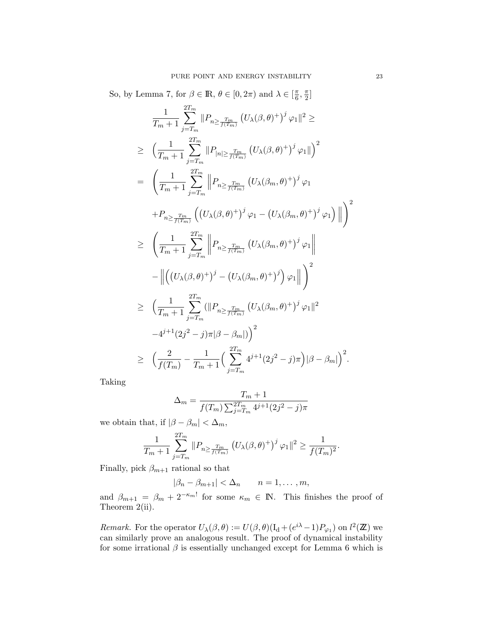So, by Lemma 7, for  $\beta \in \mathbb{R}$ ,  $\theta \in [0, 2\pi)$  and  $\lambda \in [\frac{\pi}{6}, \frac{\pi}{2}]$ 

$$
\frac{1}{T_m+1} \sum_{j=T_m}^{2T_m} ||P_{n \geq \frac{T_m}{f(T_m)}} (U_{\lambda}(\beta,\theta)^{+})^{j} \varphi_1||^{2} \ge
$$
\n
$$
\geq \left(\frac{1}{T_m+1} \sum_{j=T_m}^{2T_m} ||P_{|n| \geq \frac{T_m}{f(T_m)}} (U_{\lambda}(\beta,\theta)^{+})^{j} \varphi_1||\right)^{2}
$$
\n
$$
= \left(\frac{1}{T_m+1} \sum_{j=T_m}^{2T_m} ||P_{n \geq \frac{T_m}{f(T_m)}} (U_{\lambda}(\beta_m,\theta)^{+})^{j} \varphi_1
$$
\n
$$
+ P_{n \geq \frac{T_m}{f(T_m)}} \left((U_{\lambda}(\beta,\theta)^{+})^{j} \varphi_1 - (U_{\lambda}(\beta_m,\theta)^{+})^{j} \varphi_1\right) ||\right)^{2}
$$
\n
$$
\geq \left(\frac{1}{T_m+1} \sum_{j=T_m}^{2T_m} ||P_{n \geq \frac{T_m}{f(T_m)}} (U_{\lambda}(\beta_m,\theta)^{+})^{j} \varphi_1||\right)^{2}
$$
\n
$$
- ||((U_{\lambda}(\beta,\theta)^{+})^{j} - (U_{\lambda}(\beta_m,\theta)^{+})^{j}) \varphi_1||\right)^{2}
$$
\n
$$
\geq \left(\frac{1}{T_m+1} \sum_{j=T_m}^{2T_m} (||P_{n \geq \frac{T_m}{f(T_m)}} (U_{\lambda}(\beta_m,\theta)^{+})^{j} \varphi_1||^{2}
$$
\n
$$
-4^{j+1}(2j^{2}-j)\pi|\beta-\beta_m|)\right)^{2}
$$
\n
$$
\geq \left(\frac{2}{f(T_m)} - \frac{1}{T_m+1} \left(\sum_{j=T_m}^{2T_m} 4^{j+1}(2j^{2}-j)\pi\right)|\beta-\beta_m| \right)^{2}.
$$

Taking

$$
\Delta_m = \frac{T_m + 1}{f(T_m) \sum_{j=T_m}^{2T_m} 4^{j+1} (2j^2 - j)\pi}
$$

we obtain that, if  $|\beta-\beta_m|<\Delta_m,$ 

$$
\frac{1}{T_m+1} \sum_{j=T_m}^{2T_m} \|P_{n \ge \frac{T_m}{f(T_m)}} (U_\lambda(\beta, \theta)^+)^j \varphi_1 \|^2 \ge \frac{1}{f(T_m)^2}.
$$

Finally, pick  $\beta_{m+1}$  rational so that

$$
|\beta_n - \beta_{m+1}| < \Delta_n \qquad n = 1, \ldots, m,
$$

and  $\beta_{m+1} = \beta_m + 2^{-\kappa_m!}$  for some  $\kappa_m \in \mathbb{N}$ . This finishes the proof of Theorem 2(ii).

Remark. For the operator  $U_{\lambda}(\beta, \theta) := U(\beta, \theta)(I_{d} + (e^{i\lambda} - 1)P_{\varphi_{1}})$  on  $l^{2}(\mathbb{Z})$  we can similarly prove an analogous result. The proof of dynamical instability for some irrational  $\beta$  is essentially unchanged except for Lemma 6 which is